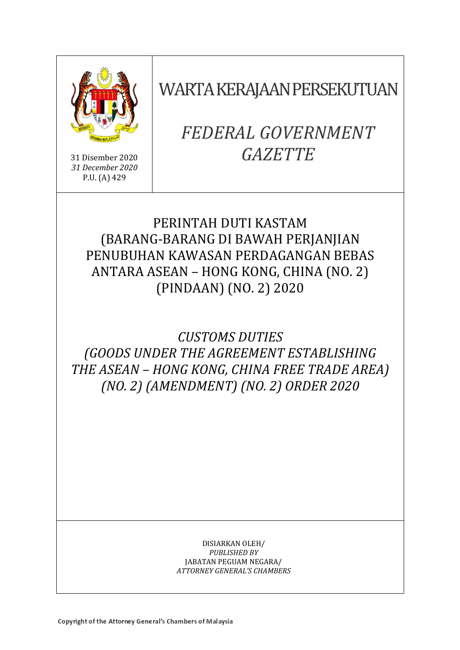

31 Disember 2020 *31 December 2020* P.U. (A) 429

WARTA KERAJAAN PERSEKUTUAN

# *FEDERAL GOVERNMENT GAZETTE*

## PERINTAH DUTI KASTAM (BARANG-BARANG DI BAWAH PERJANJIAN PENUBUHAN KAWASAN PERDAGANGAN BEBAS ANTARA ASEAN – HONG KONG, CHINA (NO. 2) (PINDAAN) (NO. 2) 2020

# *CUSTOMS DUTIES (GOODS UNDER THE AGREEMENT ESTABLISHING THE ASEAN* – *HONG KONG, CHINA FREE TRADE AREA) (NO. 2) (AMENDMENT) (NO. 2) ORDER 2020*

DISIARKAN OLEH/ *PUBLISHED BY* JABATAN PEGUAM NEGARA/ *ATTORNEY GENERAL'S CHAMBERS*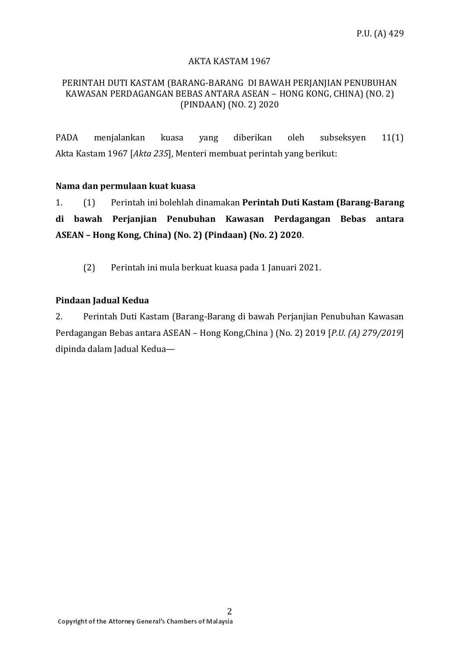#### AKTA KASTAM 1967

#### PERINTAH DUTI KASTAM (BARANG-BARANG DI BAWAH PERJANJIAN PENUBUHAN KAWASAN PERDAGANGAN BEBAS ANTARA ASEAN – HONG KONG, CHINA) (NO. 2) (PINDAAN) (NO. 2) 2020

PADA menjalankan kuasa yang diberikan oleh subseksyen 11(1) Akta Kastam 1967 [*Akta 235*], Menteri membuat perintah yang berikut:

#### **Nama dan permulaan kuat kuasa**

1. (1) Perintah ini bolehlah dinamakan **Perintah Duti Kastam (Barang-Barang di bawah Perjanjian Penubuhan Kawasan Perdagangan Bebas antara ASEAN – Hong Kong, China) (No. 2) (Pindaan) (No. 2) 2020**.

(2) Perintah ini mula berkuat kuasa pada 1 Januari 2021.

#### **Pindaan Jadual Kedua**

2. Perintah Duti Kastam (Barang-Barang di bawah Perjanjian Penubuhan Kawasan Perdagangan Bebas antara ASEAN – Hong Kong,China ) (No. 2) 2019 [*P.U. (A) 279/2019*] dipinda dalam Jadual Kedua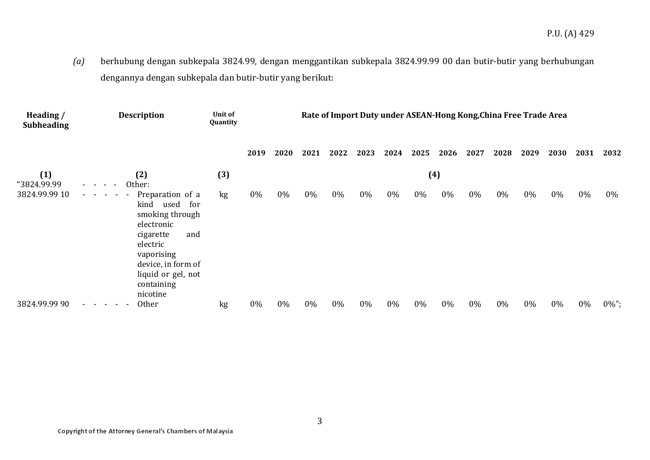*(a)* berhubung dengan subkepala 3824.99, dengan menggantikan subkepala 3824.99.99 00 dan butir-butir yang berhubungan dengannya dengan subkepala dan butir-butir yang berikut:

| Heading /<br><b>Subheading</b> | <b>Description</b>                                                                                                                                                                                                                                   | Unit of<br>Quantity | Rate of Import Duty under ASEAN-Hong Kong, China Free Trade Area |      |      |      |      |      |      |      |      |      |       |       |      |          |
|--------------------------------|------------------------------------------------------------------------------------------------------------------------------------------------------------------------------------------------------------------------------------------------------|---------------------|------------------------------------------------------------------|------|------|------|------|------|------|------|------|------|-------|-------|------|----------|
|                                |                                                                                                                                                                                                                                                      |                     | 2019                                                             | 2020 | 2021 | 2022 | 2023 | 2024 | 2025 | 2026 | 2027 | 2028 | 2029  | 2030  | 2031 | 2032     |
| (1)<br>"3824.99.99             | (4)<br>(3)<br>(2)<br>Other:<br>$\sim$                                                                                                                                                                                                                |                     |                                                                  |      |      |      |      |      |      |      |      |      |       |       |      |          |
| 3824.99.99 10                  | Preparation of a<br>$\omega_{\rm{max}}$ , and $\omega_{\rm{max}}$<br>$\sim$<br>kind used<br>for<br>smoking through<br>electronic<br>cigarette<br>and<br>electric<br>vaporising<br>device, in form of<br>liquid or gel, not<br>containing<br>nicotine | kg                  | 0%                                                               | 0%   | 0%   | 0%   | 0%   | 0%   | 0%   | 0%   | 0%   | 0%   | $0\%$ | $0\%$ | 0%   | 0%       |
| 3824.99.99 90                  | <b>Other</b><br>$\sim$<br>$\sim$                                                                                                                                                                                                                     | kg                  | 0%                                                               | 0%   | 0%   | 0%   | 0%   | 0%   | 0%   | 0%   | 0%   | 0%   | 0%    | 0%    | 0%   | $0\%$ "; |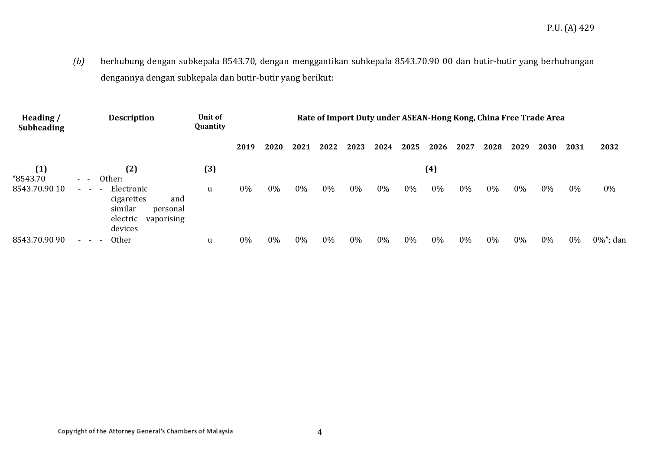*(b)* berhubung dengan subkepala 8543.70, dengan menggantikan subkepala 8543.70.90 00 dan butir-butir yang berhubungan dengannya dengan subkepala dan butir-butir yang berikut:

| Heading /<br><b>Subheading</b>          | <b>Description</b>                                                                                                          | Unit of<br>Quantity |       |       |      |      |      |      |      |      |      | Rate of Import Duty under ASEAN-Hong Kong, China Free Trade Area |      |       |      |          |  |
|-----------------------------------------|-----------------------------------------------------------------------------------------------------------------------------|---------------------|-------|-------|------|------|------|------|------|------|------|------------------------------------------------------------------|------|-------|------|----------|--|
|                                         |                                                                                                                             |                     | 2019  | 2020  | 2021 | 2022 | 2023 | 2024 | 2025 | 2026 | 2027 | 2028                                                             | 2029 | 2030  | 2031 | 2032     |  |
| (1)<br>(3)<br>(2)<br>"8543.70<br>Other: |                                                                                                                             |                     |       |       |      |      |      |      |      | (4)  |      |                                                                  |      |       |      |          |  |
| 8543.70.90 10                           | Electronic<br>$\sim$ 100 $\sim$ 100 $\sim$<br>cigarettes<br>and<br>similar<br>personal<br>vaporising<br>electric<br>devices | u                   | 0%    | $0\%$ | 0%   | 0%   | 0%   | 0%   | 0%   | 0%   | 0%   | 0%                                                               | 0%   | $0\%$ | 0%   | 0%       |  |
| 8543.70.90 90                           | <b>Other</b><br>$ -$                                                                                                        | u                   | $0\%$ | 0%    | 0%   | 0%   | 0%   | 0%   | 0%   | 0%   | 0%   | 0%                                                               | 0%   | 0%    | 0%   | 0%"; dan |  |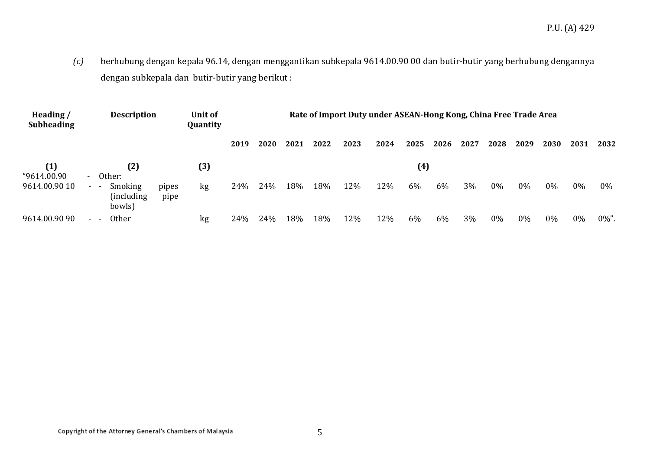*(c)* berhubung dengan kepala 96.14, dengan menggantikan subkepala 9614.00.90 00 dan butir-butir yang berhubung dengannya dengan subkepala dan butir-butir yang berikut :

| Heading/<br><b>Subheading</b> | <b>Description</b>                  | Unit of<br>Quantity | Rate of Import Duty under ASEAN-Hong Kong, China Free Trade Area |      |      |      |      |      |      |      |      |      |       |      |       |      |          |
|-------------------------------|-------------------------------------|---------------------|------------------------------------------------------------------|------|------|------|------|------|------|------|------|------|-------|------|-------|------|----------|
|                               |                                     |                     |                                                                  | 2019 | 2020 | 2021 | 2022 | 2023 | 2024 | 2025 | 2026 | 2027 | 2028  | 2029 | 2030  | 2031 | 2032     |
| (1)<br>"9614.00.90            | Other:<br>$\sim$                    | (2)                 | (3)                                                              |      |      |      |      |      |      | (4)  |      |      |       |      |       |      |          |
| 9614.00.90 10                 | Smoking<br>$\sim$ $ \sim$<br>bowls) | (including)         | pipes<br>kg<br>pipe                                              | 24%  | 24%  | 18%  | 18%  | 12%  | 12%  | 6%   | 6%   | 3%   | $0\%$ | 0%   | $0\%$ | 0%   | $0\%$    |
| 9614.00.90 90                 | Other<br>$\sim$                     |                     | kg                                                               | 24%  | 24%  | 18%  | 18%  | 12%  | 12%  | 6%   | 6%   | 3%   | $0\%$ | 0%   | $0\%$ | 0%   | $0\%$ ". |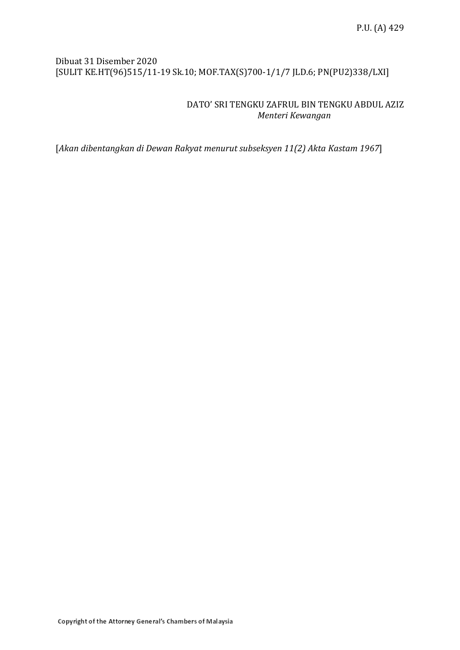### Dibuat 31 Disember 2020 [SULIT KE.HT(96)515/11-19 Sk.10; MOF.TAX(S)700-1/1/7 JLD.6; PN(PU2)338/LXI]

### DATO' SRI TENGKU ZAFRUL BIN TENGKU ABDUL AZIZ *Menteri Kewangan*

[*Akan dibentangkan di Dewan Rakyat menurut subseksyen 11(2) Akta Kastam 1967*]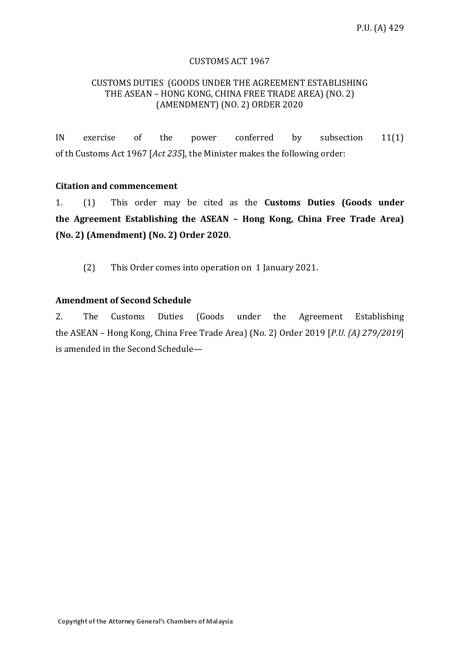#### CUSTOMS ACT 1967

#### CUSTOMS DUTIES (GOODS UNDER THE AGREEMENT ESTABLISHING THE ASEAN – HONG KONG, CHINA FREE TRADE AREA) (NO. 2) (AMENDMENT) (NO. 2) ORDER 2020

IN exercise of the power conferred by subsection 11(1) of th Customs Act 1967 [*Act 235*], the Minister makes the following order:

#### **Citation and commencement**

1. (1) This order may be cited as the **Customs Duties (Goods under the Agreement Establishing the ASEAN – Hong Kong, China Free Trade Area) (No. 2) (Amendment) (No. 2) Order 2020**.

(2) This Order comes into operation on 1 January 2021.

#### **Amendment of Second Schedule**

2. The Customs Duties (Goods under the Agreement Establishing the ASEAN – Hong Kong, China Free Trade Area) (No. 2) Order 2019 [*P.U. (A) 279/2019*] is amended in the Second Schedule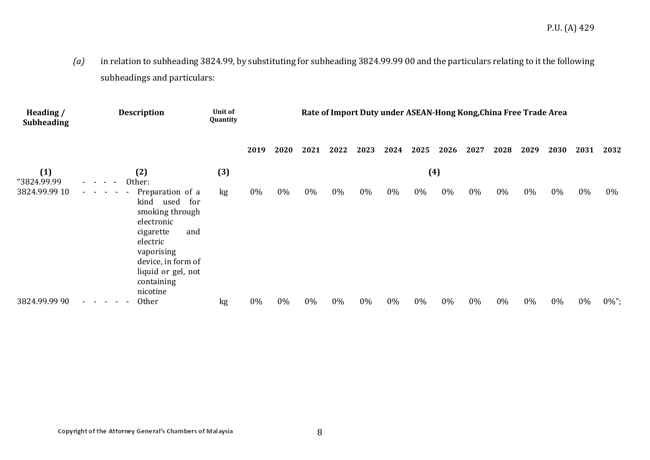*(a)* in relation to subheading 3824.99, by substituting for subheading 3824.99.99 00 and the particulars relating to it the following subheadings and particulars:

| Heading /<br><b>Subheading</b> | <b>Description</b>                                                                                                                                                                                                                                                 | Unit of<br>Quantity | Rate of Import Duty under ASEAN-Hong Kong, China Free Trade Area |      |      |       |      |      |      |      |      |      |      |      |      |          |
|--------------------------------|--------------------------------------------------------------------------------------------------------------------------------------------------------------------------------------------------------------------------------------------------------------------|---------------------|------------------------------------------------------------------|------|------|-------|------|------|------|------|------|------|------|------|------|----------|
|                                |                                                                                                                                                                                                                                                                    |                     | 2019                                                             | 2020 | 2021 | 2022  | 2023 | 2024 | 2025 | 2026 | 2027 | 2028 | 2029 | 2030 | 2031 | 2032     |
| (1)<br>"3824.99.99             | (3)<br>(4)<br>(2)<br>Other:<br>$\sim$ $-$<br>$\overline{\phantom{a}}$<br>$\sim$                                                                                                                                                                                    |                     |                                                                  |      |      |       |      |      |      |      |      |      |      |      |      |          |
| 3824.99.99 10                  | Preparation of a<br>$\omega_{\rm{eff}}=0.01$ and $\omega_{\rm{eff}}$<br><u>. на та</u><br>kind<br>used<br>for<br>smoking through<br>electronic<br>cigarette<br>and<br>electric<br>vaporising<br>device, in form of<br>liquid or gel, not<br>containing<br>nicotine | kg                  | 0%                                                               | 0%   | 0%   | $0\%$ | 0%   | 0%   | 0%   | 0%   | 0%   | 0%   | 0%   | 0%   | 0%   | $0\%$    |
| 3824.99.99 90                  | Other<br>- - -<br>$\sim$                                                                                                                                                                                                                                           | kg                  | 0%                                                               | 0%   | 0%   | 0%    | 0%   | 0%   | 0%   | 0%   | 0%   | 0%   | 0%   | 0%   | 0%   | $0\%$ "; |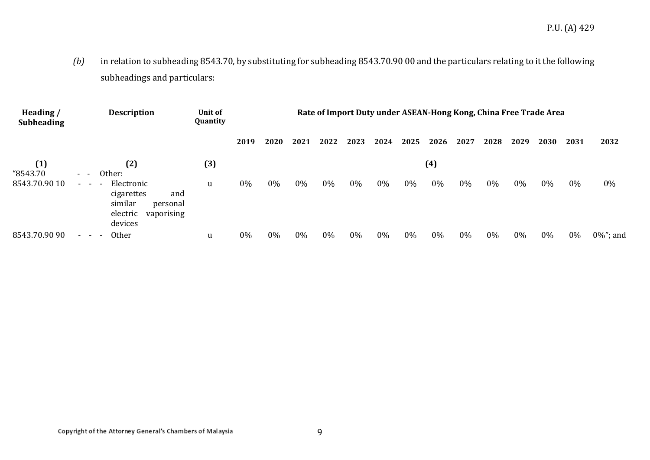*(b)* in relation to subheading 8543.70, by substituting for subheading 8543.70.90 00 and the particulars relating to it the following subheadings and particulars:

| Heading /<br><b>Subheading</b> | <b>Description</b>                                                                                                     | Unit of<br>Quantity | Rate of Import Duty under ASEAN-Hong Kong, China Free Trade Area |       |       |      |       |      |      |       |       |      |      |      |      |              |  |
|--------------------------------|------------------------------------------------------------------------------------------------------------------------|---------------------|------------------------------------------------------------------|-------|-------|------|-------|------|------|-------|-------|------|------|------|------|--------------|--|
|                                |                                                                                                                        |                     | 2019                                                             | 2020  | 2021  | 2022 | 2023  | 2024 | 2025 | 2026  | 2027  | 2028 | 2029 | 2030 | 2031 | 2032         |  |
| (1)<br>"8543.70                | (2)<br>Other:<br>- -                                                                                                   | (3)                 |                                                                  |       |       |      |       |      |      | (4)   |       |      |      |      |      |              |  |
| 8543.70.90 10                  | Electronic<br>$\sim 100$ km s $^{-1}$<br>cigarettes<br>and<br>similar<br>personal<br>electric<br>vaporising<br>devices | u                   | 0%                                                               | $0\%$ | $0\%$ | 0%   | $0\%$ | 0%   | 0%   | $0\%$ | 0%    | 0%   | 0%   | 0%   | 0%   | 0%           |  |
| 8543.70.90 90                  | <b>Other</b><br>$ -$                                                                                                   | u                   | 0%                                                               | 0%    | 0%    | 0%   | $0\%$ | 0%   | 0%   | 0%    | $0\%$ | 0%   | 0%   | 0%   | 0%   | $0\%$ "; and |  |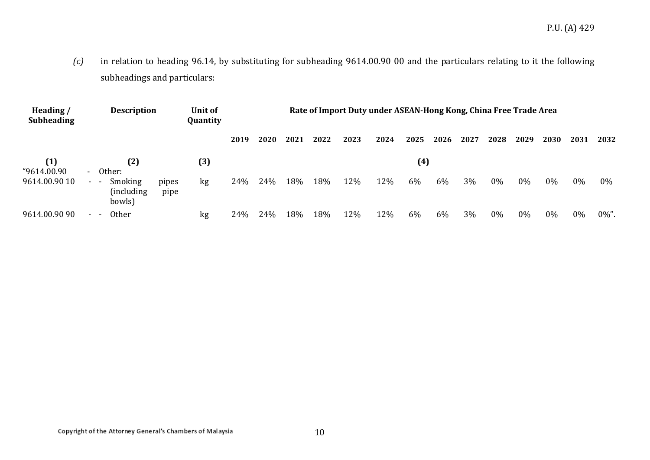*(c)* in relation to heading 96.14, by substituting for subheading 9614.00.90 00 and the particulars relating to it the following subheadings and particulars:

| Heading /<br><b>Subheading</b>                                                         | <b>Description</b> |                                                              |               | Unit of<br>Quantity | Rate of Import Duty under ASEAN-Hong Kong, China Free Trade Area |      |      |      |      |      |      |      |      |      |      |       |      |       |
|----------------------------------------------------------------------------------------|--------------------|--------------------------------------------------------------|---------------|---------------------|------------------------------------------------------------------|------|------|------|------|------|------|------|------|------|------|-------|------|-------|
|                                                                                        |                    |                                                              |               |                     | 2019                                                             | 2020 | 2021 | 2022 | 2023 | 2024 | 2025 | 2026 | 2027 | 2028 | 2029 | 2030  | 2031 | 2032  |
| (1)<br>$\left(3\right)$<br>$\left( 4\right)$<br>(2)<br>"9614.00.90<br>Other:<br>$\sim$ |                    |                                                              |               |                     |                                                                  |      |      |      |      |      |      |      |      |      |      |       |      |       |
| 9614.00.90 10                                                                          | $\sim$ 10 $\,$     | Smoking<br>$\overline{\phantom{a}}$<br>(including)<br>bowls) | pipes<br>pipe | kg                  | 24%                                                              | 24%  | 18%  | 18%  | 12%  | 12%  | 6%   | 6%   | 3%   | 0%   | 0%   | $0\%$ | 0%   | $0\%$ |
| 9614.00.90 90                                                                          | $\sim$ 10 $\pm$    | <b>Other</b>                                                 |               | kg                  | 24%                                                              | 24%  | 18%  | 18%  | 12%  | 12%  | 6%   | 6%   | 3%   | 0%   | 0%   | 0%    | 0%   | 0%".  |